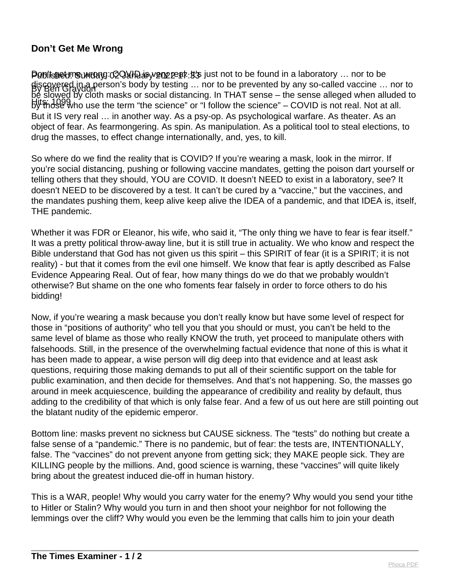## **Don't Get Me Wrong**

Popitsned: Sumbang: COVIH as year cat: it's just not to be found in a laboratory ... nor to be By Ben Graydon discovered in a person's body by testing … nor to be prevented by any so-called vaccine … nor to by those who use the term "the science" or "I follow the science" – COVID is not real. Not at all. be slowed by cloth masks or social distancing. In THAT sense – the sense alleged when alluded to But it IS very real … in another way. As a psy-op. As psychological warfare. As theater. As an object of fear. As fearmongering. As spin. As manipulation. As a political tool to steal elections, to drug the masses, to effect change internationally, and, yes, to kill.

So where do we find the reality that is COVID? If you're wearing a mask, look in the mirror. If you're social distancing, pushing or following vaccine mandates, getting the poison dart yourself or telling others that they should, YOU are COVID. It doesn't NEED to exist in a laboratory, see? It doesn't NEED to be discovered by a test. It can't be cured by a "vaccine," but the vaccines, and the mandates pushing them, keep alive keep alive the IDEA of a pandemic, and that IDEA is, itself, THE pandemic.

Whether it was FDR or Eleanor, his wife, who said it, "The only thing we have to fear is fear itself." It was a pretty political throw-away line, but it is still true in actuality. We who know and respect the Bible understand that God has not given us this spirit – this SPIRIT of fear (it is a SPIRIT; it is not reality) - but that it comes from the evil one himself. We know that fear is aptly described as False Evidence Appearing Real. Out of fear, how many things do we do that we probably wouldn't otherwise? But shame on the one who foments fear falsely in order to force others to do his bidding!

Now, if you're wearing a mask because you don't really know but have some level of respect for those in "positions of authority" who tell you that you should or must, you can't be held to the same level of blame as those who really KNOW the truth, yet proceed to manipulate others with falsehoods. Still, in the presence of the overwhelming factual evidence that none of this is what it has been made to appear, a wise person will dig deep into that evidence and at least ask questions, requiring those making demands to put all of their scientific support on the table for public examination, and then decide for themselves. And that's not happening. So, the masses go around in meek acquiescence, building the appearance of credibility and reality by default, thus adding to the credibility of that which is only false fear. And a few of us out here are still pointing out the blatant nudity of the epidemic emperor.

Bottom line: masks prevent no sickness but CAUSE sickness. The "tests" do nothing but create a false sense of a "pandemic." There is no pandemic, but of fear: the tests are, INTENTIONALLY, false. The "vaccines" do not prevent anyone from getting sick; they MAKE people sick. They are KILLING people by the millions. And, good science is warning, these "vaccines" will quite likely bring about the greatest induced die-off in human history.

This is a WAR, people! Why would you carry water for the enemy? Why would you send your tithe to Hitler or Stalin? Why would you turn in and then shoot your neighbor for not following the lemmings over the cliff? Why would you even be the lemming that calls him to join your death